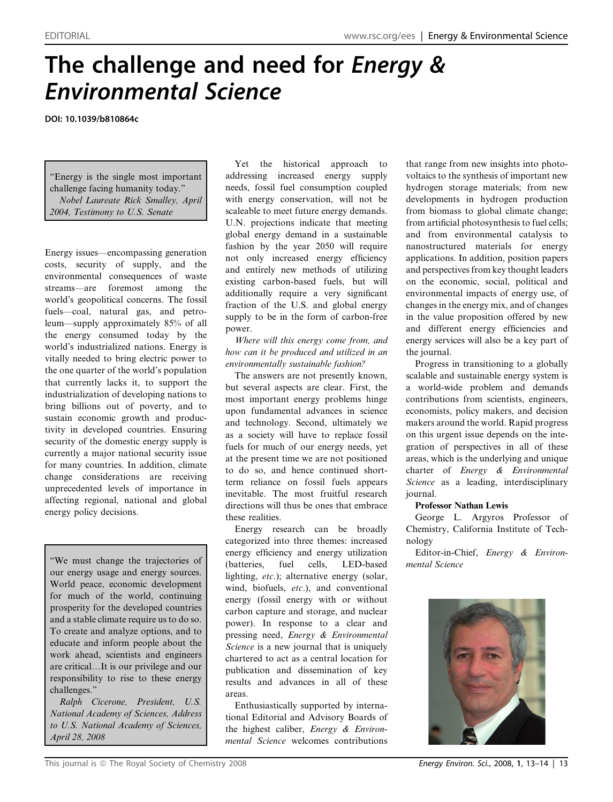# The challenge and need for Energy & Environmental Science

DOI: 10.1039/b810864c

''Energy is the single most important challenge facing humanity today.'' Nobel Laureate Rick Smalley, April 2004, Testimony to U.S. Senate

Energy issues—encompassing generation costs, security of supply, and the environmental consequences of waste streams—are foremost among the world's geopolitical concerns. The fossil fuels—coal, natural gas, and petroleum—supply approximately 85% of all the energy consumed today by the world's industrialized nations. Energy is vitally needed to bring electric power to the one quarter of the world's population that currently lacks it, to support the industrialization of developing nations to bring billions out of poverty, and to sustain economic growth and productivity in developed countries. Ensuring security of the domestic energy supply is currently a major national security issue for many countries. In addition, climate change considerations are receiving unprecedented levels of importance in affecting regional, national and global energy policy decisions.

''We must change the trajectories of our energy usage and energy sources. World peace, economic development for much of the world, continuing prosperity for the developed countries and a stable climate require us to do so. To create and analyze options, and to educate and inform people about the work ahead, scientists and engineers are critical*.*It is our privilege and our responsibility to rise to these energy challenges.''

Ralph Cicerone, President, U.S. National Academy of Sciences, Address to U.S. National Academy of Sciences, April 28, 2008

Yet the historical approach to addressing increased energy supply needs, fossil fuel consumption coupled with energy conservation, will not be scaleable to meet future energy demands. U.N. projections indicate that meeting global energy demand in a sustainable fashion by the year 2050 will require not only increased energy efficiency and entirely new methods of utilizing existing carbon-based fuels, but will additionally require a very significant fraction of the U.S. and global energy supply to be in the form of carbon-free power.

Where will this energy come from, and how can it be produced and utilized in an environmentally sustainable fashion?

The answers are not presently known, but several aspects are clear. First, the most important energy problems hinge upon fundamental advances in science and technology. Second, ultimately we as a society will have to replace fossil fuels for much of our energy needs, yet at the present time we are not positioned to do so, and hence continued shortterm reliance on fossil fuels appears inevitable. The most fruitful research directions will thus be ones that embrace these realities.

Energy research can be broadly categorized into three themes: increased energy efficiency and energy utilization (batteries, fuel cells, LED-based lighting, etc.); alternative energy (solar, wind, biofuels, etc.), and conventional energy (fossil energy with or without carbon capture and storage, and nuclear power). In response to a clear and pressing need, Energy & Environmental Science is a new journal that is uniquely chartered to act as a central location for publication and dissemination of key results and advances in all of these areas.

Enthusiastically supported by international Editorial and Advisory Boards of the highest caliber, Energy & Environmental Science welcomes contributions

that range from new insights into photovoltaics to the synthesis of important new hydrogen storage materials; from new developments in hydrogen production from biomass to global climate change; from artificial photosynthesis to fuel cells; and from environmental catalysis to nanostructured materials for energy applications. In addition, position papers and perspectives from key thought leaders on the economic, social, political and environmental impacts of energy use, of changes in the energy mix, and of changes in the value proposition offered by new and different energy efficiencies and energy services will also be a key part of the journal.

Progress in transitioning to a globally scalable and sustainable energy system is a world-wide problem and demands contributions from scientists, engineers, economists, policy makers, and decision makers around the world. Rapid progress on this urgent issue depends on the integration of perspectives in all of these areas, which is the underlying and unique charter of Energy & Environmental Science as a leading, interdisciplinary journal.

#### Professor Nathan Lewis

George L. Argyros Professor of Chemistry, California Institute of Technology

Editor-in-Chief, Energy & Environmental Science